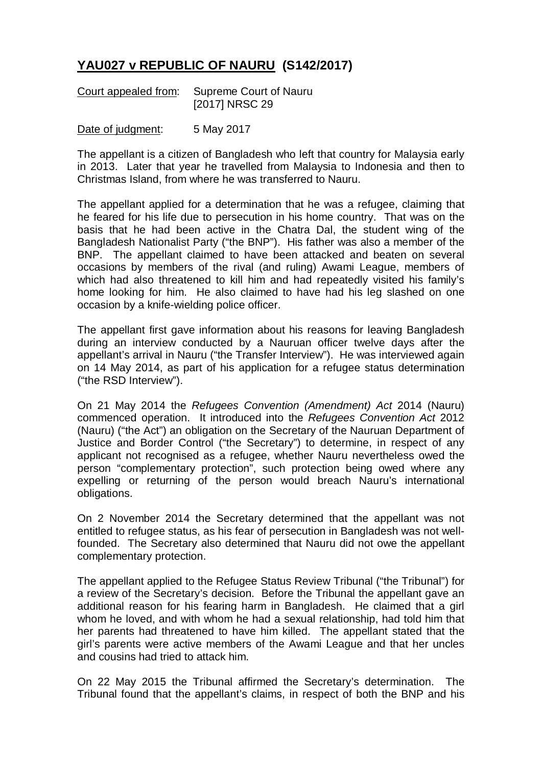## **YAU027 v REPUBLIC OF NAURU (S142/2017)**

| Court appealed from: | Supreme Court of Nauru |
|----------------------|------------------------|
|                      | [2017] NRSC 29         |

Date of judgment: 5 May 2017

The appellant is a citizen of Bangladesh who left that country for Malaysia early in 2013. Later that year he travelled from Malaysia to Indonesia and then to Christmas Island, from where he was transferred to Nauru.

The appellant applied for a determination that he was a refugee, claiming that he feared for his life due to persecution in his home country. That was on the basis that he had been active in the Chatra Dal, the student wing of the Bangladesh Nationalist Party ("the BNP"). His father was also a member of the BNP. The appellant claimed to have been attacked and beaten on several occasions by members of the rival (and ruling) Awami League, members of which had also threatened to kill him and had repeatedly visited his family's home looking for him. He also claimed to have had his leg slashed on one occasion by a knife-wielding police officer.

The appellant first gave information about his reasons for leaving Bangladesh during an interview conducted by a Nauruan officer twelve days after the appellant's arrival in Nauru ("the Transfer Interview"). He was interviewed again on 14 May 2014, as part of his application for a refugee status determination ("the RSD Interview").

On 21 May 2014 the *Refugees Convention (Amendment) Act* 2014 (Nauru) commenced operation. It introduced into the *Refugees Convention Act* 2012 (Nauru) ("the Act") an obligation on the Secretary of the Nauruan Department of Justice and Border Control ("the Secretary") to determine, in respect of any applicant not recognised as a refugee, whether Nauru nevertheless owed the person "complementary protection", such protection being owed where any expelling or returning of the person would breach Nauru's international obligations.

On 2 November 2014 the Secretary determined that the appellant was not entitled to refugee status, as his fear of persecution in Bangladesh was not wellfounded. The Secretary also determined that Nauru did not owe the appellant complementary protection.

The appellant applied to the Refugee Status Review Tribunal ("the Tribunal") for a review of the Secretary's decision. Before the Tribunal the appellant gave an additional reason for his fearing harm in Bangladesh. He claimed that a girl whom he loved, and with whom he had a sexual relationship, had told him that her parents had threatened to have him killed. The appellant stated that the girl's parents were active members of the Awami League and that her uncles and cousins had tried to attack him.

On 22 May 2015 the Tribunal affirmed the Secretary's determination. The Tribunal found that the appellant's claims, in respect of both the BNP and his